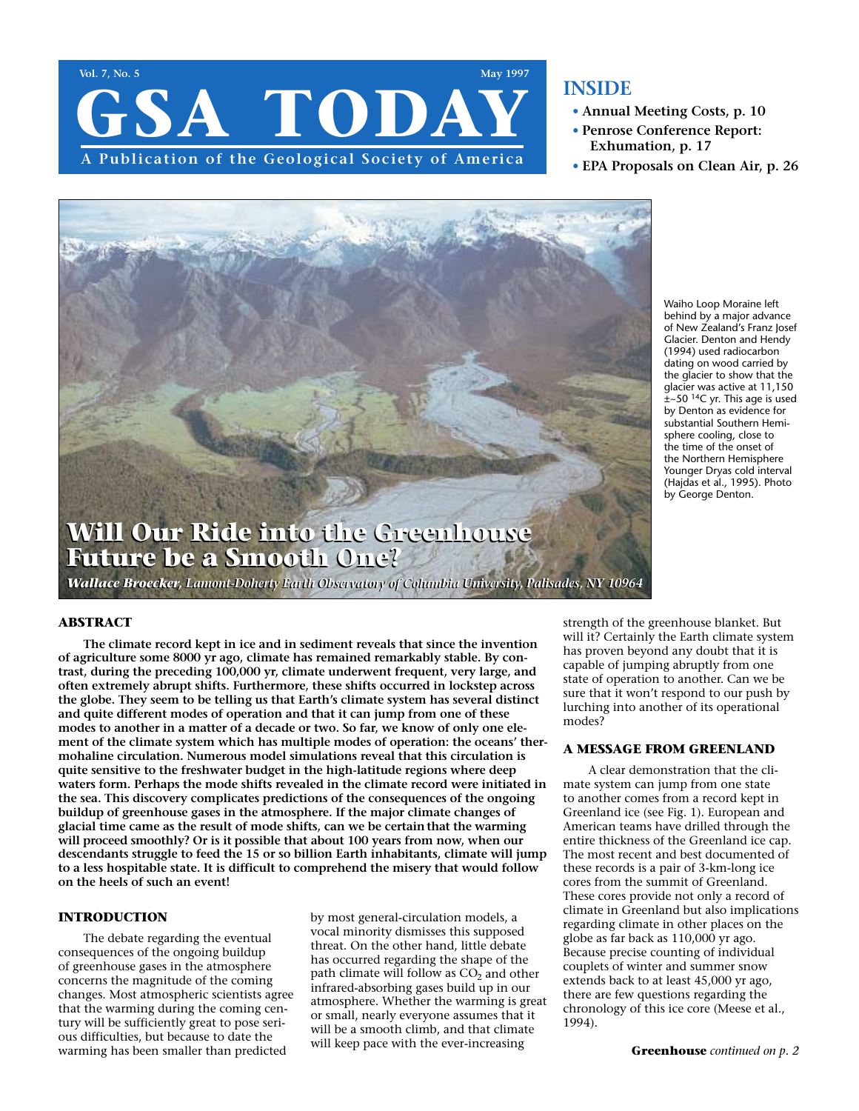

# **INSIDE**

- **• Annual Meeting Costs, p. 10**
- **• Penrose Conference Report: Exhumation, p. 17**
- **• EPA Proposals on Clean Air, p. 26**



Waiho Loop Moraine left behind by a major advance of New Zealand's Franz Josef Glacier. Denton and Hendy (1994) used radiocarbon dating on wood carried by the glacier to show that the glacier was active at 11,150  $\pm$ ~50 <sup>14</sup>C yr. This age is used by Denton as evidence for substantial Southern Hemisphere cooling, close to the time of the onset of the Northern Hemisphere Younger Dryas cold interval (Hajdas et al., 1995). Photo by George Denton.

# **Will Our Ride into the Greenhouse Will Our Ride into the Greenhouse Future be a Smooth One? Future be a Smooth One?**

*Wallace Broecker, Lamont-Doherty Earth Observatory of Columbia University, Palisades, NY 10964 Wallace Broecker, Lamont-Doherty Earth Observatory of Columbia University, Palisades, NY 10964*

## **ABSTRACT**

**The climate record kept in ice and in sediment reveals that since the invention of agriculture some 8000 yr ago, climate has remained remarkably stable. By contrast, during the preceding 100,000 yr, climate underwent frequent, very large, and often extremely abrupt shifts. Furthermore, these shifts occurred in lockstep across the globe. They seem to be telling us that Earth's climate system has several distinct and quite different modes of operation and that it can jump from one of these modes to another in a matter of a decade or two. So far, we know of only one element of the climate system which has multiple modes of operation: the oceans' thermohaline circulation. Numerous model simulations reveal that this circulation is quite sensitive to the freshwater budget in the high-latitude regions where deep waters form. Perhaps the mode shifts revealed in the climate record were initiated in the sea. This discovery complicates predictions of the consequences of the ongoing buildup of greenhouse gases in the atmosphere. If the major climate changes of glacial time came as the result of mode shifts, can we be certain that the warming will proceed smoothly? Or is it possible that about 100 years from now, when our descendants struggle to feed the 15 or so billion Earth inhabitants, climate will jump to a less hospitable state. It is difficult to comprehend the misery that would follow on the heels of such an event!**

## **INTRODUCTION**

The debate regarding the eventual consequences of the ongoing buildup of greenhouse gases in the atmosphere concerns the magnitude of the coming changes. Most atmospheric scientists agree that the warming during the coming century will be sufficiently great to pose serious difficulties, but because to date the warming has been smaller than predicted

by most general-circulation models, a vocal minority dismisses this supposed threat. On the other hand, little debate has occurred regarding the shape of the path climate will follow as  $CO<sub>2</sub>$  and other infrared-absorbing gases build up in our atmosphere. Whether the warming is great or small, nearly everyone assumes that it will be a smooth climb, and that climate will keep pace with the ever-increasing

strength of the greenhouse blanket. But will it? Certainly the Earth climate system has proven beyond any doubt that it is capable of jumping abruptly from one state of operation to another. Can we be sure that it won't respond to our push by lurching into another of its operational modes?

## **A MESSAGE FROM GREENLAND**

A clear demonstration that the climate system can jump from one state to another comes from a record kept in Greenland ice (see Fig. 1). European and American teams have drilled through the entire thickness of the Greenland ice cap. The most recent and best documented of these records is a pair of 3-km-long ice cores from the summit of Greenland. These cores provide not only a record of climate in Greenland but also implications regarding climate in other places on the globe as far back as 110,000 yr ago. Because precise counting of individual couplets of winter and summer snow extends back to at least 45,000 yr ago, there are few questions regarding the chronology of this ice core (Meese et al., 1994).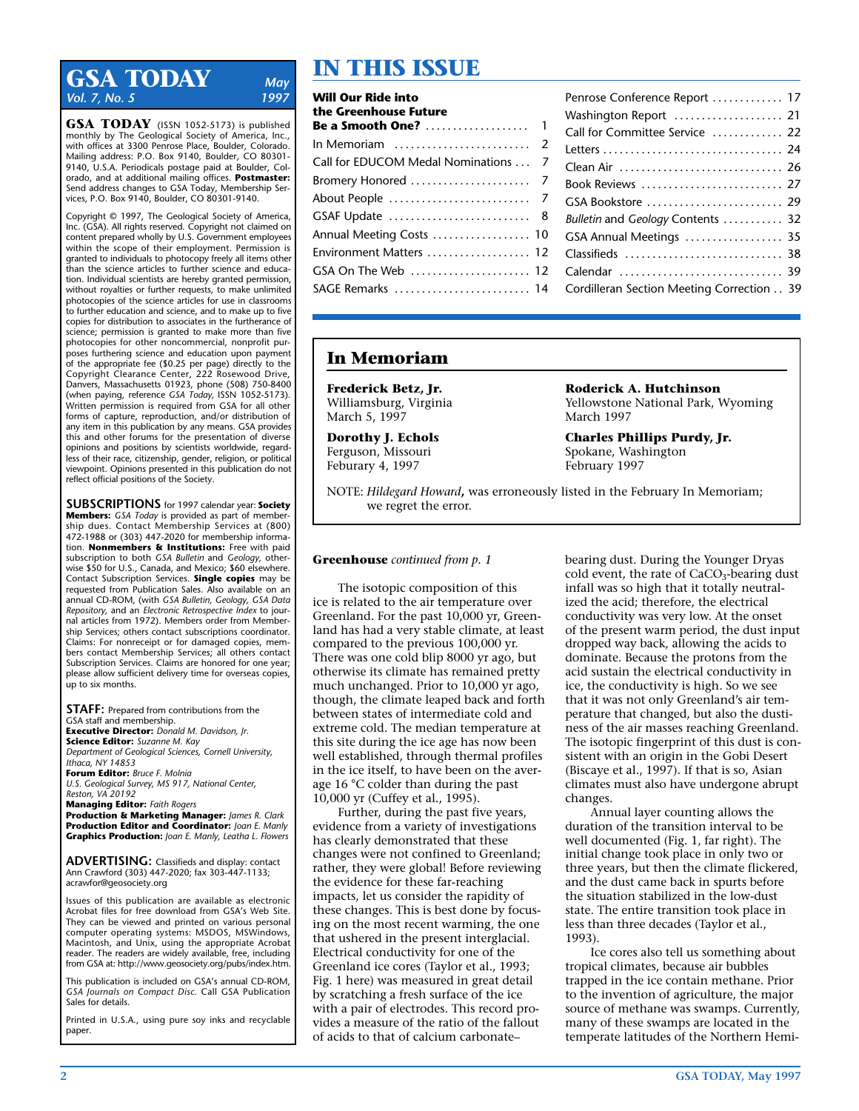# **GSA TODAY** *May*<br>Vol. 7 No. 5 1997 *Vol. 7, No. 5*

**GSA TODAY** (ISSN 1052-5173) is published monthly by The Geological Society of America, Inc., with offices at 3300 Penrose Place, Boulder, Colorado. Mailing address: P.O. Box 9140, Boulder, CO 80301- 9140, U.S.A. Periodicals postage paid at Boulder, Colorado, and at additional mailing offices. **Postmaster:** Send address changes to GSA Today, Membership Services, P.O. Box 9140, Boulder, CO 80301-9140.

Copyright © 1997, The Geological Society of America, Inc. (GSA). All rights reserved. Copyright not claimed on content prepared wholly by U.S. Government employees within the scope of their employment. Permission is granted to individuals to photocopy freely all items other than the science articles to further science and education. Individual scientists are hereby granted permission, without royalties or further requests, to make unlimited photocopies of the science articles for use in classrooms to further education and science, and to make up to five copies for distribution to associates in the furtherance of science; permission is granted to make more than five photocopies for other noncommercial, nonprofit purposes furthering science and education upon payment of the appropriate fee (\$0.25 per page) directly to the Copyright Clearance Center, 222 Rosewood Drive, Danvers, Massachusetts 01923, phone (508) 750-8400 (when paying, reference *GSA Today,* ISSN 1052-5173). Written permission is required from GSA for all other forms of capture, reproduction, and/or distribution of any item in this publication by any means. GSA provides this and other forums for the presentation of diverse opinions and positions by scientists worldwide, regardless of their race, citizenship, gender, religion, or political viewpoint. Opinions presented in this publication do not reflect official positions of the Society.

**SUBSCRIPTIONS** for 1997 calendar year: **Society Members:** *GSA Today* is provided as part of membership dues. Contact Membership Services at (800) 472-1988 or (303) 447-2020 for membership information. **Nonmembers & Institutions:** Free with paid subscription to both *GSA Bulletin* and *Geology,* otherwise \$50 for U.S., Canada, and Mexico; \$60 elsewhere. Contact Subscription Services. **Single copies** may be requested from Publication Sales. Also available on an annual CD-ROM, (with *GSA Bulletin, Geology, GSA Data Repository,* and an *Electronic Retrospective Index* to journal articles from 1972). Members order from Membership Services; others contact subscriptions coordinator. Claims: For nonreceipt or for damaged copies, members contact Membership Services; all others contact Subscription Services. Claims are honored for one year; please allow sufficient delivery time for overseas copies, up to six months.

**STAFF:** Prepared from contributions from the GSA staff and membership. **Executive Director:** *Donald M. Davidson, Jr.* **Science Editor:** *Suzanne M. Kay Department of Geological Sciences, Cornell University, Ithaca, NY 14853* **Forum Editor:** *Bruce F. Molnia U.S. Geological Survey, MS 917, National Center, Reston, VA 20192* **Managing Editor:** *Faith Rogers* **Production & Marketing Manager:** *James R. Clark*

**Production Editor and Coordinator:** *Joan E. Manly* **Graphics Production:** *Joan E. Manly, Leatha L. Flowers*

**ADVERTISING:** Classifieds and display: contact Ann Crawford (303) 447-2020; fax 303-447-1133; acrawfor@geosociety.org

Issues of this publication are available as electronic Acrobat files for free download from GSA's Web Site. They can be viewed and printed on various personal computer operating systems: MSDOS, MSWindows, Macintosh, and Unix, using the appropriate Acrobat reader. The readers are widely available, free, including from GSA at: http://www.geosociety.org/pubs/index.htm.

This publication is included on GSA's annual CD-ROM, *GSA Journals on Compact Disc.* Call GSA Publication Sales for details.

Printed in U.S.A., using pure soy inks and recyclable paper.

# **IN THIS ISSUE**

| <b>Will Our Ride into</b>                           | Penrose Conference Report  17     |
|-----------------------------------------------------|-----------------------------------|
| the Greenhouse Future                               | Washington Report  21             |
|                                                     | Call for Committee Service  22    |
| In Memoriam $\dots\dots\dots\dots\dots\dots\dots$ 2 |                                   |
| Call for EDUCOM Medal Nominations  7                |                                   |
|                                                     |                                   |
|                                                     |                                   |
|                                                     | Bulletin and Geology Contents  32 |
|                                                     | GSA Annual Meetings  35           |
| Environment Matters  12                             | Classifieds  38                   |
|                                                     |                                   |
|                                                     |                                   |

# **In Memoriam**

**Frederick Betz, Jr.** Williamsburg, Virginia March 5, 1997

**Dorothy J. Echols** Ferguson, Missouri Feburary 4, 1997

**Roderick A. Hutchinson** Yellowstone National Park, Wyoming March 1997

**Charles Phillips Purdy, Jr.** Spokane, Washington February 1997

NOTE: *Hildegard Howard***,** was erroneously listed in the February In Memoriam; we regret the error.

## **Greenhouse** *continued from p. 1*

The isotopic composition of this ice is related to the air temperature over Greenland. For the past 10,000 yr, Greenland has had a very stable climate, at least compared to the previous 100,000 yr. There was one cold blip 8000 yr ago, but otherwise its climate has remained pretty much unchanged. Prior to 10,000 yr ago, though, the climate leaped back and forth between states of intermediate cold and extreme cold. The median temperature at this site during the ice age has now been well established, through thermal profiles in the ice itself, to have been on the average 16 °C colder than during the past 10,000 yr (Cuffey et al., 1995).

Further, during the past five years, evidence from a variety of investigations has clearly demonstrated that these changes were not confined to Greenland; rather, they were global! Before reviewing the evidence for these far-reaching impacts, let us consider the rapidity of these changes. This is best done by focusing on the most recent warming, the one that ushered in the present interglacial. Electrical conductivity for one of the Greenland ice cores (Taylor et al., 1993; Fig. 1 here) was measured in great detail by scratching a fresh surface of the ice with a pair of electrodes. This record provides a measure of the ratio of the fallout of acids to that of calcium carbonate–

bearing dust. During the Younger Dryas cold event, the rate of  $CaCO<sub>3</sub>$ -bearing dust infall was so high that it totally neutralized the acid; therefore, the electrical conductivity was very low. At the onset of the present warm period, the dust input dropped way back, allowing the acids to dominate. Because the protons from the acid sustain the electrical conductivity in ice, the conductivity is high. So we see that it was not only Greenland's air temperature that changed, but also the dustiness of the air masses reaching Greenland. The isotopic fingerprint of this dust is consistent with an origin in the Gobi Desert (Biscaye et al., 1997). If that is so, Asian climates must also have undergone abrupt changes.

Annual layer counting allows the duration of the transition interval to be well documented (Fig. 1, far right). The initial change took place in only two or three years, but then the climate flickered, and the dust came back in spurts before the situation stabilized in the low-dust state. The entire transition took place in less than three decades (Taylor et al., 1993).

Ice cores also tell us something about tropical climates, because air bubbles trapped in the ice contain methane. Prior to the invention of agriculture, the major source of methane was swamps. Currently, many of these swamps are located in the temperate latitudes of the Northern Hemi-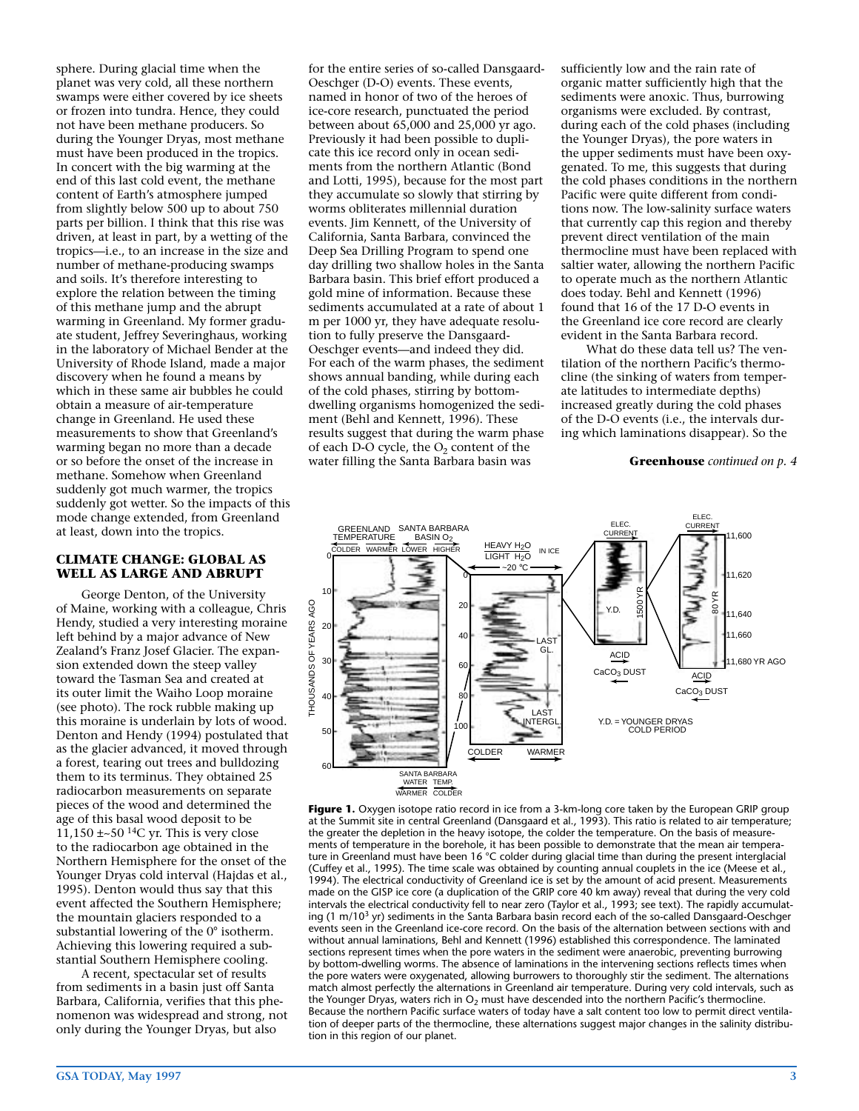sphere. During glacial time when the planet was very cold, all these northern swamps were either covered by ice sheets or frozen into tundra. Hence, they could not have been methane producers. So during the Younger Dryas, most methane must have been produced in the tropics. In concert with the big warming at the end of this last cold event, the methane content of Earth's atmosphere jumped from slightly below 500 up to about 750 parts per billion. I think that this rise was driven, at least in part, by a wetting of the tropics—i.e., to an increase in the size and number of methane-producing swamps and soils. It's therefore interesting to explore the relation between the timing of this methane jump and the abrupt warming in Greenland. My former graduate student, Jeffrey Severinghaus, working in the laboratory of Michael Bender at the University of Rhode Island, made a major discovery when he found a means by which in these same air bubbles he could obtain a measure of air-temperature change in Greenland. He used these measurements to show that Greenland's warming began no more than a decade or so before the onset of the increase in methane. Somehow when Greenland suddenly got much warmer, the tropics suddenly got wetter. So the impacts of this mode change extended, from Greenland at least, down into the tropics.

#### **CLIMATE CHANGE: GLOBAL AS WELL AS LARGE AND ABRUPT**

George Denton, of the University of Maine, working with a colleague, Chris Hendy, studied a very interesting moraine left behind by a major advance of New Zealand's Franz Josef Glacier. The expansion extended down the steep valley toward the Tasman Sea and created at its outer limit the Waiho Loop moraine (see photo). The rock rubble making up this moraine is underlain by lots of wood. Denton and Hendy (1994) postulated that as the glacier advanced, it moved through a forest, tearing out trees and bulldozing them to its terminus. They obtained 25 radiocarbon measurements on separate pieces of the wood and determined the age of this basal wood deposit to be  $11,150 \pm 50$  <sup>14</sup>C yr. This is very close to the radiocarbon age obtained in the Northern Hemisphere for the onset of the Younger Dryas cold interval (Hajdas et al., 1995). Denton would thus say that this event affected the Southern Hemisphere; the mountain glaciers responded to a substantial lowering of the 0° isotherm. Achieving this lowering required a substantial Southern Hemisphere cooling.

A recent, spectacular set of results from sediments in a basin just off Santa Barbara, California, verifies that this phenomenon was widespread and strong, not only during the Younger Dryas, but also

for the entire series of so-called Dansgaard-Oeschger (D-O) events. These events, named in honor of two of the heroes of ice-core research, punctuated the period between about 65,000 and 25,000 yr ago. Previously it had been possible to duplicate this ice record only in ocean sediments from the northern Atlantic (Bond and Lotti, 1995), because for the most part they accumulate so slowly that stirring by worms obliterates millennial duration events. Jim Kennett, of the University of California, Santa Barbara, convinced the Deep Sea Drilling Program to spend one day drilling two shallow holes in the Santa Barbara basin. This brief effort produced a gold mine of information. Because these sediments accumulated at a rate of about 1 m per 1000 yr, they have adequate resolution to fully preserve the Dansgaard-Oeschger events—and indeed they did. For each of the warm phases, the sediment shows annual banding, while during each of the cold phases, stirring by bottomdwelling organisms homogenized the sediment (Behl and Kennett, 1996). These results suggest that during the warm phase of each D-O cycle, the  $O_2$  content of the water filling the Santa Barbara basin was

sufficiently low and the rain rate of organic matter sufficiently high that the sediments were anoxic. Thus, burrowing organisms were excluded. By contrast, during each of the cold phases (including the Younger Dryas), the pore waters in the upper sediments must have been oxygenated. To me, this suggests that during the cold phases conditions in the northern Pacific were quite different from conditions now. The low-salinity surface waters that currently cap this region and thereby prevent direct ventilation of the main thermocline must have been replaced with saltier water, allowing the northern Pacific to operate much as the northern Atlantic does today. Behl and Kennett (1996) found that 16 of the 17 D-O events in the Greenland ice core record are clearly evident in the Santa Barbara record.

What do these data tell us? The ventilation of the northern Pacific's thermocline (the sinking of waters from temperate latitudes to intermediate depths) increased greatly during the cold phases of the D-O events (i.e., the intervals during which laminations disappear). So the

#### **Greenhouse** *continued on p. 4*



**Figure 1.** Oxygen isotope ratio record in ice from a 3-km-long core taken by the European GRIP group at the Summit site in central Greenland (Dansgaard et al., 1993). This ratio is related to air temperature; the greater the depletion in the heavy isotope, the colder the temperature. On the basis of measurements of temperature in the borehole, it has been possible to demonstrate that the mean air temperature in Greenland must have been 16 °C colder during glacial time than during the present interglacial (Cuffey et al., 1995). The time scale was obtained by counting annual couplets in the ice (Meese et al., 1994). The electrical conductivity of Greenland ice is set by the amount of acid present. Measurements made on the GISP ice core (a duplication of the GRIP core 40 km away) reveal that during the very cold intervals the electrical conductivity fell to near zero (Taylor et al., 1993; see text). The rapidly accumulating  $(1 \text{ m}/10^3 \text{ yr})$  sediments in the Santa Barbara basin record each of the so-called Dansgaard-Oeschger events seen in the Greenland ice-core record. On the basis of the alternation between sections with and without annual laminations, Behl and Kennett (1996) established this correspondence. The laminated sections represent times when the pore waters in the sediment were anaerobic, preventing burrowing by bottom-dwelling worms. The absence of laminations in the intervening sections reflects times when the pore waters were oxygenated, allowing burrowers to thoroughly stir the sediment. The alternations match almost perfectly the alternations in Greenland air temperature. During very cold intervals, such as the Younger Dryas, waters rich in  $O<sub>2</sub>$  must have descended into the northern Pacific's thermocline. Because the northern Pacific surface waters of today have a salt content too low to permit direct ventilation of deeper parts of the thermocline, these alternations suggest major changes in the salinity distribution in this region of our planet.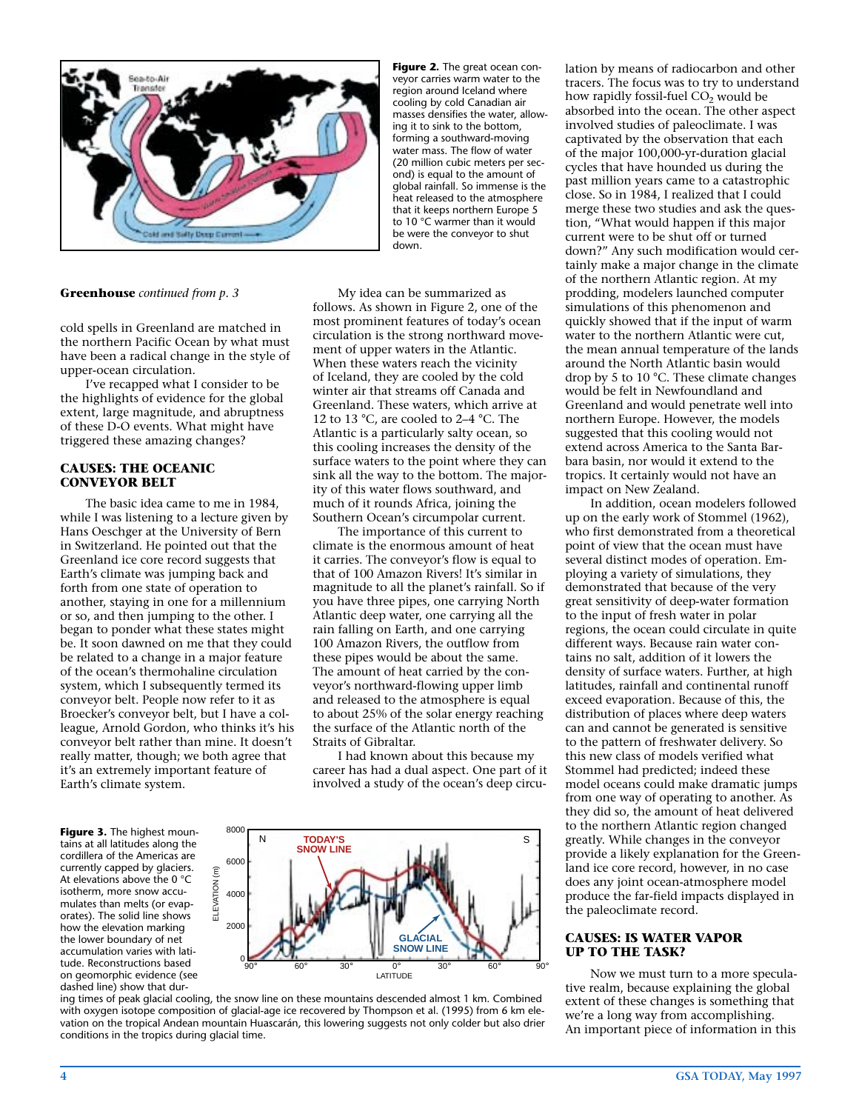

**Greenhouse** *continued from p. 3*

cold spells in Greenland are matched in the northern Pacific Ocean by what must have been a radical change in the style of upper-ocean circulation.

I've recapped what I consider to be the highlights of evidence for the global extent, large magnitude, and abruptness of these D-O events. What might have triggered these amazing changes?

#### **CAUSES: THE OCEANIC CONVEYOR BELT**

The basic idea came to me in 1984, while I was listening to a lecture given by Hans Oeschger at the University of Bern in Switzerland. He pointed out that the Greenland ice core record suggests that Earth's climate was jumping back and forth from one state of operation to another, staying in one for a millennium or so, and then jumping to the other. I began to ponder what these states might be. It soon dawned on me that they could be related to a change in a major feature of the ocean's thermohaline circulation system, which I subsequently termed its conveyor belt. People now refer to it as Broecker's conveyor belt, but I have a colleague, Arnold Gordon, who thinks it's his conveyor belt rather than mine. It doesn't really matter, though; we both agree that it's an extremely important feature of Earth's climate system.

**Figure 3.** The highest mountains at all latitudes along the cordillera of the Americas are currently capped by glaciers. At elevations above the 0 °C isotherm, more snow accumulates than melts (or evaporates). The solid line shows how the elevation marking the lower boundary of net accumulation varies with latitude. Reconstructions based on geomorphic evidence (see dashed line) show that dur**Figure 2.** The great ocean conveyor carries warm water to the region around Iceland where cooling by cold Canadian air masses densifies the water, allowing it to sink to the bottom, forming a southward-moving water mass. The flow of water (20 million cubic meters per second) is equal to the amount of global rainfall. So immense is the heat released to the atmosphere that it keeps northern Europe 5 to 10 °C warmer than it would be were the conveyor to shut down.

My idea can be summarized as follows. As shown in Figure 2, one of the most prominent features of today's ocean circulation is the strong northward movement of upper waters in the Atlantic. When these waters reach the vicinity of Iceland, they are cooled by the cold winter air that streams off Canada and Greenland. These waters, which arrive at 12 to 13 °C, are cooled to 2–4 °C. The Atlantic is a particularly salty ocean, so this cooling increases the density of the surface waters to the point where they can sink all the way to the bottom. The majority of this water flows southward, and much of it rounds Africa, joining the Southern Ocean's circumpolar current.

The importance of this current to climate is the enormous amount of heat it carries. The conveyor's flow is equal to that of 100 Amazon Rivers! It's similar in magnitude to all the planet's rainfall. So if you have three pipes, one carrying North Atlantic deep water, one carrying all the rain falling on Earth, and one carrying 100 Amazon Rivers, the outflow from these pipes would be about the same. The amount of heat carried by the conveyor's northward-flowing upper limb and released to the atmosphere is equal to about 25% of the solar energy reaching the surface of the Atlantic north of the Straits of Gibraltar.

I had known about this because my career has had a dual aspect. One part of it involved a study of the ocean's deep circu-



ing times of peak glacial cooling, the snow line on these mountains descended almost 1 km. Combined with oxygen isotope composition of glacial-age ice recovered by Thompson et al. (1995) from 6 km elevation on the tropical Andean mountain Huascarán, this lowering suggests not only colder but also drier conditions in the tropics during glacial time.

lation by means of radiocarbon and other tracers. The focus was to try to understand how rapidly fossil-fuel CO<sub>2</sub> would be absorbed into the ocean. The other aspect involved studies of paleoclimate. I was captivated by the observation that each of the major 100,000-yr-duration glacial cycles that have hounded us during the past million years came to a catastrophic close. So in 1984, I realized that I could merge these two studies and ask the question, "What would happen if this major current were to be shut off or turned down?" Any such modification would certainly make a major change in the climate of the northern Atlantic region. At my prodding, modelers launched computer simulations of this phenomenon and quickly showed that if the input of warm water to the northern Atlantic were cut, the mean annual temperature of the lands around the North Atlantic basin would drop by 5 to 10 °C. These climate changes would be felt in Newfoundland and Greenland and would penetrate well into northern Europe. However, the models suggested that this cooling would not extend across America to the Santa Barbara basin, nor would it extend to the tropics. It certainly would not have an impact on New Zealand.

In addition, ocean modelers followed up on the early work of Stommel (1962), who first demonstrated from a theoretical point of view that the ocean must have several distinct modes of operation. Employing a variety of simulations, they demonstrated that because of the very great sensitivity of deep-water formation to the input of fresh water in polar regions, the ocean could circulate in quite different ways. Because rain water contains no salt, addition of it lowers the density of surface waters. Further, at high latitudes, rainfall and continental runoff exceed evaporation. Because of this, the distribution of places where deep waters can and cannot be generated is sensitive to the pattern of freshwater delivery. So this new class of models verified what Stommel had predicted; indeed these model oceans could make dramatic jumps from one way of operating to another. As they did so, the amount of heat delivered to the northern Atlantic region changed greatly. While changes in the conveyor provide a likely explanation for the Greenland ice core record, however, in no case does any joint ocean-atmosphere model produce the far-field impacts displayed in the paleoclimate record.

#### **CAUSES: IS WATER VAPOR UP TO THE TASK?**

Now we must turn to a more speculative realm, because explaining the global extent of these changes is something that we're a long way from accomplishing. An important piece of information in this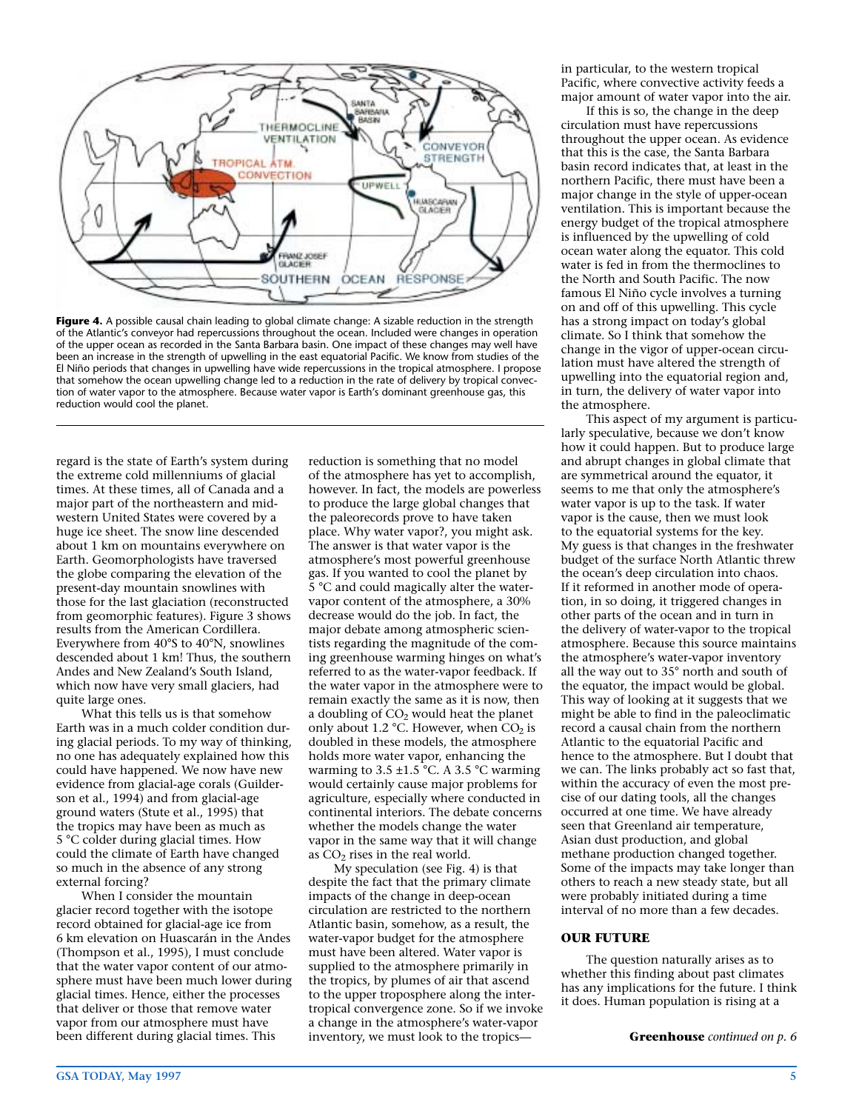

Figure 4. A possible causal chain leading to global climate change: A sizable reduction in the strength of the Atlantic's conveyor had repercussions throughout the ocean. Included were changes in operation of the upper ocean as recorded in the Santa Barbara basin. One impact of these changes may well have been an increase in the strength of upwelling in the east equatorial Pacific. We know from studies of the El Niño periods that changes in upwelling have wide repercussions in the tropical atmosphere. I propose that somehow the ocean upwelling change led to a reduction in the rate of delivery by tropical convection of water vapor to the atmosphere. Because water vapor is Earth's dominant greenhouse gas, this reduction would cool the planet.

regard is the state of Earth's system during the extreme cold millenniums of glacial times. At these times, all of Canada and a major part of the northeastern and midwestern United States were covered by a huge ice sheet. The snow line descended about 1 km on mountains everywhere on Earth. Geomorphologists have traversed the globe comparing the elevation of the present-day mountain snowlines with those for the last glaciation (reconstructed from geomorphic features). Figure 3 shows results from the American Cordillera. Everywhere from 40°S to 40°N, snowlines descended about 1 km! Thus, the southern Andes and New Zealand's South Island, which now have very small glaciers, had quite large ones.

What this tells us is that somehow Earth was in a much colder condition during glacial periods. To my way of thinking, no one has adequately explained how this could have happened. We now have new evidence from glacial-age corals (Guilderson et al., 1994) and from glacial-age ground waters (Stute et al., 1995) that the tropics may have been as much as 5 °C colder during glacial times. How could the climate of Earth have changed so much in the absence of any strong external forcing?

When I consider the mountain glacier record together with the isotope record obtained for glacial-age ice from 6 km elevation on Huascarán in the Andes (Thompson et al., 1995), I must conclude that the water vapor content of our atmosphere must have been much lower during glacial times. Hence, either the processes that deliver or those that remove water vapor from our atmosphere must have been different during glacial times. This

reduction is something that no model of the atmosphere has yet to accomplish, however. In fact, the models are powerless to produce the large global changes that the paleorecords prove to have taken place. Why water vapor?, you might ask. The answer is that water vapor is the atmosphere's most powerful greenhouse gas. If you wanted to cool the planet by 5 °C and could magically alter the watervapor content of the atmosphere, a 30% decrease would do the job. In fact, the major debate among atmospheric scientists regarding the magnitude of the coming greenhouse warming hinges on what's referred to as the water-vapor feedback. If the water vapor in the atmosphere were to remain exactly the same as it is now, then a doubling of  $CO<sub>2</sub>$  would heat the planet only about 1.2 °C. However, when  $CO<sub>2</sub>$  is doubled in these models, the atmosphere holds more water vapor, enhancing the warming to 3.5  $\pm$ 1.5 °C. A 3.5 °C warming would certainly cause major problems for agriculture, especially where conducted in continental interiors. The debate concerns whether the models change the water vapor in the same way that it will change as  $CO<sub>2</sub>$  rises in the real world.

My speculation (see Fig. 4) is that despite the fact that the primary climate impacts of the change in deep-ocean circulation are restricted to the northern Atlantic basin, somehow, as a result, the water-vapor budget for the atmosphere must have been altered. Water vapor is supplied to the atmosphere primarily in the tropics, by plumes of air that ascend to the upper troposphere along the intertropical convergence zone. So if we invoke a change in the atmosphere's water-vapor inventory, we must look to the tropicsin particular, to the western tropical Pacific, where convective activity feeds a major amount of water vapor into the air.

If this is so, the change in the deep circulation must have repercussions throughout the upper ocean. As evidence that this is the case, the Santa Barbara basin record indicates that, at least in the northern Pacific, there must have been a major change in the style of upper-ocean ventilation. This is important because the energy budget of the tropical atmosphere is influenced by the upwelling of cold ocean water along the equator. This cold water is fed in from the thermoclines to the North and South Pacific. The now famous El Niño cycle involves a turning on and off of this upwelling. This cycle has a strong impact on today's global climate. So I think that somehow the change in the vigor of upper-ocean circulation must have altered the strength of upwelling into the equatorial region and, in turn, the delivery of water vapor into the atmosphere.

This aspect of my argument is particularly speculative, because we don't know how it could happen. But to produce large and abrupt changes in global climate that are symmetrical around the equator, it seems to me that only the atmosphere's water vapor is up to the task. If water vapor is the cause, then we must look to the equatorial systems for the key. My guess is that changes in the freshwater budget of the surface North Atlantic threw the ocean's deep circulation into chaos. If it reformed in another mode of operation, in so doing, it triggered changes in other parts of the ocean and in turn in the delivery of water-vapor to the tropical atmosphere. Because this source maintains the atmosphere's water-vapor inventory all the way out to 35° north and south of the equator, the impact would be global. This way of looking at it suggests that we might be able to find in the paleoclimatic record a causal chain from the northern Atlantic to the equatorial Pacific and hence to the atmosphere. But I doubt that we can. The links probably act so fast that, within the accuracy of even the most precise of our dating tools, all the changes occurred at one time. We have already seen that Greenland air temperature, Asian dust production, and global methane production changed together. Some of the impacts may take longer than others to reach a new steady state, but all were probably initiated during a time interval of no more than a few decades.

### **OUR FUTURE**

The question naturally arises as to whether this finding about past climates has any implications for the future. I think it does. Human population is rising at a

**Greenhouse** *continued on p. 6*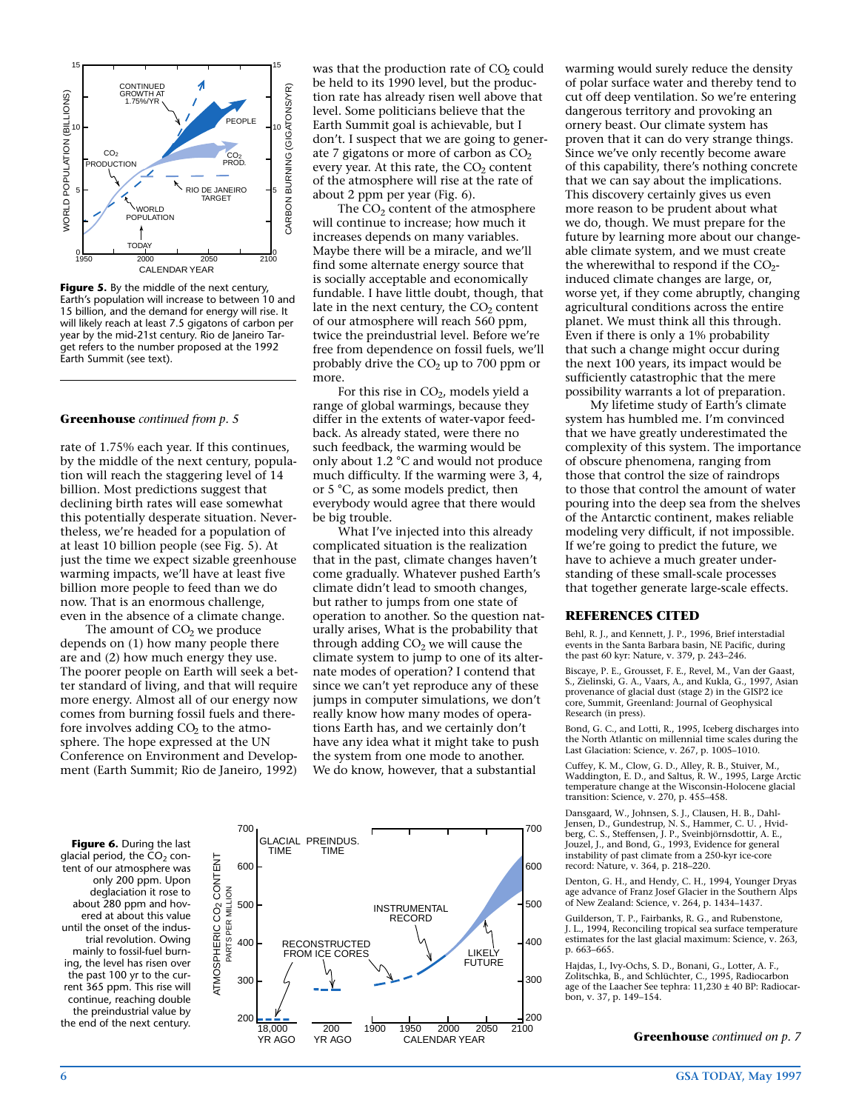

**Figure 5.** By the middle of the next century, Earth's population will increase to between 10 and 15 billion, and the demand for energy will rise. It will likely reach at least 7.5 gigatons of carbon per year by the mid-21st century. Rio de Janeiro Target refers to the number proposed at the 1992 Earth Summit (see text).

#### **Greenhouse** *continued from p. 5*

rate of 1.75% each year. If this continues, by the middle of the next century, population will reach the staggering level of 14 billion. Most predictions suggest that declining birth rates will ease somewhat this potentially desperate situation. Nevertheless, we're headed for a population of at least 10 billion people (see Fig. 5). At just the time we expect sizable greenhouse warming impacts, we'll have at least five billion more people to feed than we do now. That is an enormous challenge, even in the absence of a climate change.

The amount of  $CO<sub>2</sub>$  we produce depends on (1) how many people there are and (2) how much energy they use. The poorer people on Earth will seek a better standard of living, and that will require more energy. Almost all of our energy now comes from burning fossil fuels and therefore involves adding  $CO<sub>2</sub>$  to the atmosphere. The hope expressed at the UN Conference on Environment and Development (Earth Summit; Rio de Janeiro, 1992)

was that the production rate of CO<sub>2</sub> could be held to its 1990 level, but the production rate has already risen well above that level. Some politicians believe that the Earth Summit goal is achievable, but I don't. I suspect that we are going to generate 7 gigatons or more of carbon as  $CO<sub>2</sub>$ every year. At this rate, the  $CO<sub>2</sub>$  content of the atmosphere will rise at the rate of about 2 ppm per year (Fig. 6).

The  $CO<sub>2</sub>$  content of the atmosphere will continue to increase; how much it increases depends on many variables. Maybe there will be a miracle, and we'll find some alternate energy source that is socially acceptable and economically fundable. I have little doubt, though, that late in the next century, the  $CO<sub>2</sub>$  content of our atmosphere will reach 560 ppm, twice the preindustrial level. Before we're free from dependence on fossil fuels, we'll probably drive the  $CO<sub>2</sub>$  up to 700 ppm or more.

For this rise in  $CO<sub>2</sub>$ , models yield a range of global warmings, because they differ in the extents of water-vapor feedback. As already stated, were there no such feedback, the warming would be only about 1.2 °C and would not produce much difficulty. If the warming were 3, 4, or 5 °C, as some models predict, then everybody would agree that there would be big trouble.

What I've injected into this already complicated situation is the realization that in the past, climate changes haven't come gradually. Whatever pushed Earth's climate didn't lead to smooth changes, but rather to jumps from one state of operation to another. So the question naturally arises, What is the probability that through adding  $CO<sub>2</sub>$  we will cause the climate system to jump to one of its alternate modes of operation? I contend that since we can't yet reproduce any of these jumps in computer simulations, we don't really know how many modes of operations Earth has, and we certainly don't have any idea what it might take to push the system from one mode to another. We do know, however, that a substantial



warming would surely reduce the density of polar surface water and thereby tend to cut off deep ventilation. So we're entering dangerous territory and provoking an ornery beast. Our climate system has proven that it can do very strange things. Since we've only recently become aware of this capability, there's nothing concrete that we can say about the implications. This discovery certainly gives us even more reason to be prudent about what we do, though. We must prepare for the future by learning more about our changeable climate system, and we must create the wherewithal to respond if the  $CO<sub>2</sub>$ induced climate changes are large, or, worse yet, if they come abruptly, changing agricultural conditions across the entire planet. We must think all this through. Even if there is only a 1% probability that such a change might occur during the next 100 years, its impact would be sufficiently catastrophic that the mere possibility warrants a lot of preparation.

My lifetime study of Earth's climate system has humbled me. I'm convinced that we have greatly underestimated the complexity of this system. The importance of obscure phenomena, ranging from those that control the size of raindrops to those that control the amount of water pouring into the deep sea from the shelves of the Antarctic continent, makes reliable modeling very difficult, if not impossible. If we're going to predict the future, we have to achieve a much greater understanding of these small-scale processes that together generate large-scale effects.

#### **REFERENCES CITED**

Behl, R. J., and Kennett, J. P., 1996, Brief interstadial events in the Santa Barbara basin, NE Pacific, during the past 60 kyr: Nature, v. 379, p. 243–246.

Biscaye, P. E., Grousset, F. E., Revel, M., Van der Gaast, S., Zielinski, G. A., Vaars, A., and Kukla, G., 1997, Asian provenance of glacial dust (stage 2) in the GISP2 ice core, Summit, Greenland: Journal of Geophysical Research (in press).

Bond, G. C., and Lotti, R., 1995, Iceberg discharges into the North Atlantic on millennial time scales during the Last Glaciation: Science, v. 267, p. 1005–1010.

Cuffey, K. M., Clow, G. D., Alley, R. B., Stuiver, M., Waddington, E. D., and Saltus, R. W., 1995, Large Arctic temperature change at the Wisconsin-Holocene glacial transition: Science, v. 270, p. 455–458.

Dansgaard, W., Johnsen, S. J., Clausen, H. B., Dahl-Jensen, D., Gundestrup, N. S., Hammer, C. U. , Hvid-berg, C. S., Steffensen, J. P., Sveinbjörnsdottir, A. E., Jouzel, J., and Bond, G., 1993, Evidence for general instability of past climate from a 250-kyr ice-core record: Nature, v. 364, p. 218–220.

Denton, G. H., and Hendy, C. H., 1994, Younger Dryas age advance of Franz Josef Glacier in the Southern Alps of New Zealand: Science, v. 264, p. 1434–1437.

Guilderson, T. P., Fairbanks, R. G., and Rubenstone, J. L., 1994, Reconciling tropical sea surface temperature estimates for the last glacial maximum: Science, v. 263, p. 663–665.

Hajdas, I., Ivy-Ochs, S. D., Bonani, G., Lotter, A. F., Zolitschka, B., and Schlüchter, C., 1995, Radiocarbon age of the Laacher See tephra: 11,230 ± 40 BP: Radiocarbon, v. 37, p. 149–154.

**Greenhouse** *continued on p. 7*

**Figure 6.** During the last glacial period, the  $CO<sub>2</sub>$  content of our atmosphere was only 200 ppm. Upon deglaciation it rose to about 280 ppm and hovered at about this value until the onset of the industrial revolution. Owing mainly to fossil-fuel burning, the level has risen over the past 100 yr to the current 365 ppm. This rise will continue, reaching double the preindustrial value by the end of the next century.